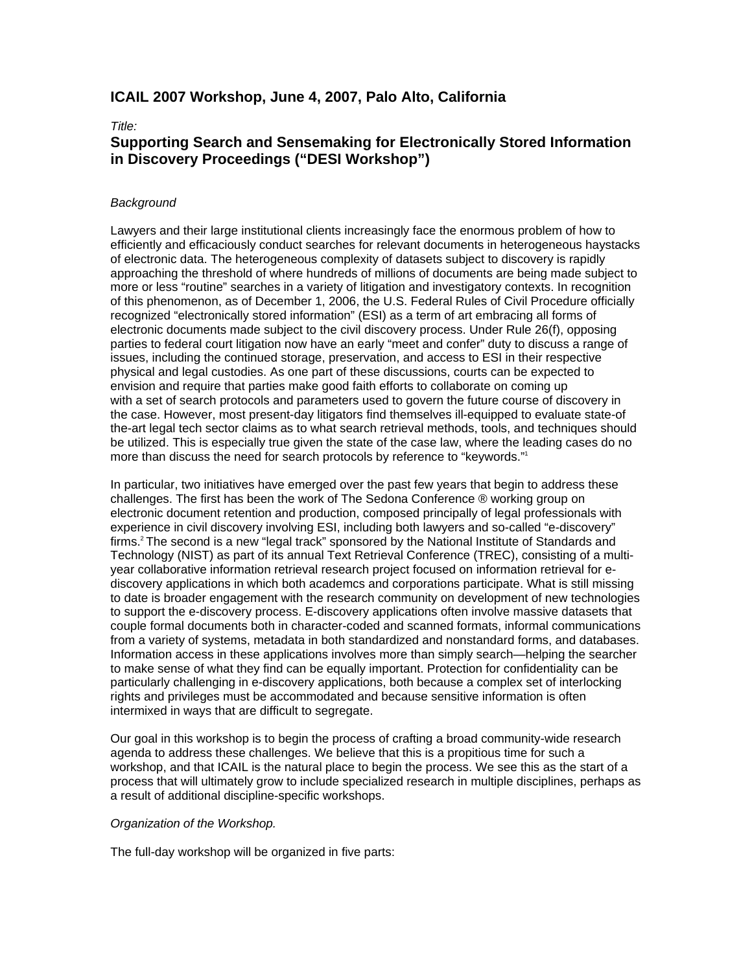## **ICAIL 2007 Workshop, June 4, 2007, Palo Alto, California**

### *Title:*

# **Supporting Search and Sensemaking for Electronically Stored Information in Discovery Proceedings ("DESI Workshop")**

## *Background*

Lawyers and their large institutional clients increasingly face the enormous problem of how to efficiently and efficaciously conduct searches for relevant documents in heterogeneous haystacks of electronic data. The heterogeneous complexity of datasets subject to discovery is rapidly approaching the threshold of where hundreds of millions of documents are being made subject to more or less "routine" searches in a variety of litigation and investigatory contexts. In recognition of this phenomenon, as of December 1, 2006, the U.S. Federal Rules of Civil Procedure officially recognized "electronically stored information" (ESI) as a term of art embracing all forms of electronic documents made subject to the civil discovery process. Under Rule 26(f), opposing parties to federal court litigation now have an early "meet and confer" duty to discuss a range of issues, including the continued storage, preservation, and access to ESI in their respective physical and legal custodies. As one part of these discussions, courts can be expected to envision and require that parties make good faith efforts to collaborate on coming up with a set of search protocols and parameters used to govern the future course of discovery in the case. However, most present-day litigators find themselves ill-equipped to evaluate state-of the-art legal tech sector claims as to what search retrieval methods, tools, and techniques should be utilized. This is especially true given the state of the case law, where the leading cases do no more than discuss the need for search protocols by reference to "keywords."1

In particular, two initiatives have emerged over the past few years that begin to address these challenges. The first has been the work of The Sedona Conference ® working group on electronic document retention and production, composed principally of legal professionals with experience in civil discovery involving ESI, including both lawyers and so-called "e-discovery" firms.<sup>2</sup> The second is a new "legal track" sponsored by the National Institute of Standards and Technology (NIST) as part of its annual Text Retrieval Conference (TREC), consisting of a multiyear collaborative information retrieval research project focused on information retrieval for ediscovery applications in which both academcs and corporations participate. What is still missing to date is broader engagement with the research community on development of new technologies to support the e-discovery process. E-discovery applications often involve massive datasets that couple formal documents both in character-coded and scanned formats, informal communications from a variety of systems, metadata in both standardized and nonstandard forms, and databases. Information access in these applications involves more than simply search—helping the searcher to make sense of what they find can be equally important. Protection for confidentiality can be particularly challenging in e-discovery applications, both because a complex set of interlocking rights and privileges must be accommodated and because sensitive information is often intermixed in ways that are difficult to segregate.

Our goal in this workshop is to begin the process of crafting a broad community-wide research agenda to address these challenges. We believe that this is a propitious time for such a workshop, and that ICAIL is the natural place to begin the process. We see this as the start of a process that will ultimately grow to include specialized research in multiple disciplines, perhaps as a result of additional discipline-specific workshops.

## *Organization of the Workshop.*

The full-day workshop will be organized in five parts: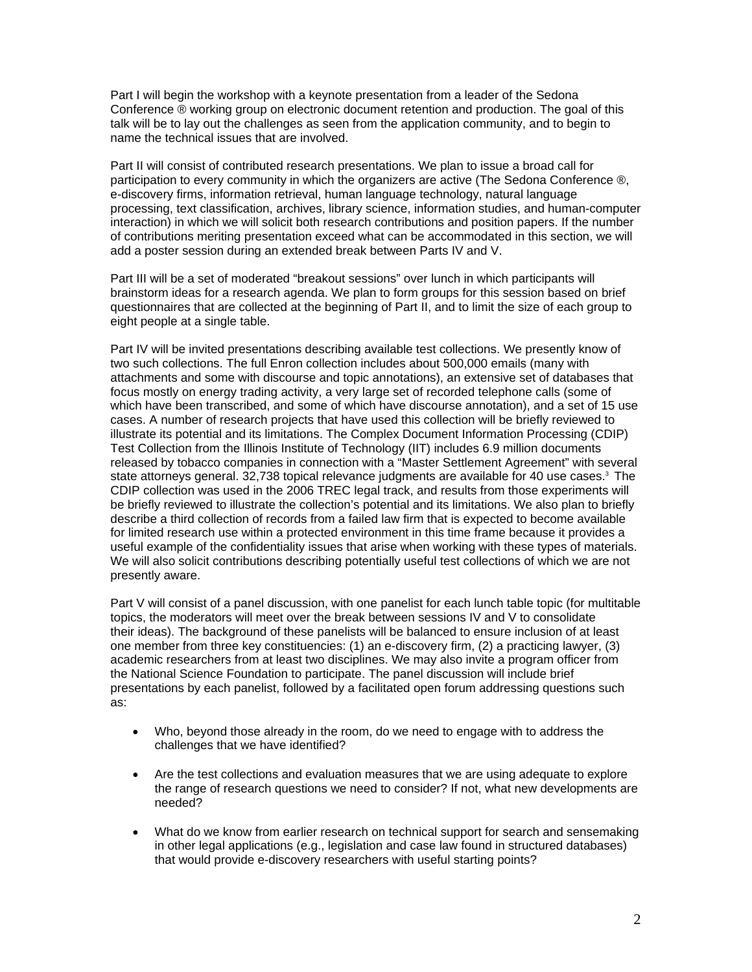Part I will begin the workshop with a keynote presentation from a leader of the Sedona Conference ® working group on electronic document retention and production. The goal of this talk will be to lay out the challenges as seen from the application community, and to begin to name the technical issues that are involved.

Part II will consist of contributed research presentations. We plan to issue a broad call for participation to every community in which the organizers are active (The Sedona Conference ®, e-discovery firms, information retrieval, human language technology, natural language processing, text classification, archives, library science, information studies, and human-computer interaction) in which we will solicit both research contributions and position papers. If the number of contributions meriting presentation exceed what can be accommodated in this section, we will add a poster session during an extended break between Parts IV and V.

Part III will be a set of moderated "breakout sessions" over lunch in which participants will brainstorm ideas for a research agenda. We plan to form groups for this session based on brief questionnaires that are collected at the beginning of Part II, and to limit the size of each group to eight people at a single table.

Part IV will be invited presentations describing available test collections. We presently know of two such collections. The full Enron collection includes about 500,000 emails (many with attachments and some with discourse and topic annotations), an extensive set of databases that focus mostly on energy trading activity, a very large set of recorded telephone calls (some of which have been transcribed, and some of which have discourse annotation), and a set of 15 use cases. A number of research projects that have used this collection will be briefly reviewed to illustrate its potential and its limitations. The Complex Document Information Processing (CDIP) Test Collection from the Illinois Institute of Technology (IIT) includes 6.9 million documents released by tobacco companies in connection with a "Master Settlement Agreement" with several state attorneys general. 32,738 topical relevance judgments are available for 40 use cases.<sup>3</sup> The CDIP collection was used in the 2006 TREC legal track, and results from those experiments will be briefly reviewed to illustrate the collection's potential and its limitations. We also plan to briefly describe a third collection of records from a failed law firm that is expected to become available for limited research use within a protected environment in this time frame because it provides a useful example of the confidentiality issues that arise when working with these types of materials. We will also solicit contributions describing potentially useful test collections of which we are not presently aware.

Part V will consist of a panel discussion, with one panelist for each lunch table topic (for multitable topics, the moderators will meet over the break between sessions IV and V to consolidate their ideas). The background of these panelists will be balanced to ensure inclusion of at least one member from three key constituencies: (1) an e-discovery firm, (2) a practicing lawyer, (3) academic researchers from at least two disciplines. We may also invite a program officer from the National Science Foundation to participate. The panel discussion will include brief presentations by each panelist, followed by a facilitated open forum addressing questions such as:

- Who, beyond those already in the room, do we need to engage with to address the challenges that we have identified?
- Are the test collections and evaluation measures that we are using adequate to explore the range of research questions we need to consider? If not, what new developments are needed?
- What do we know from earlier research on technical support for search and sensemaking in other legal applications (e.g., legislation and case law found in structured databases) that would provide e-discovery researchers with useful starting points?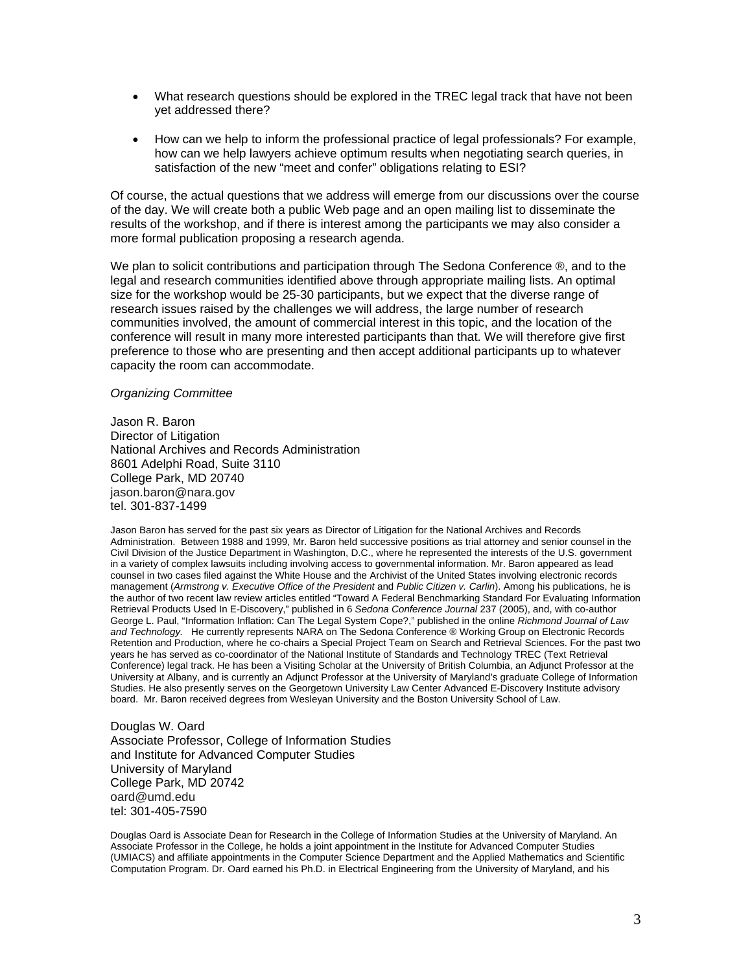- What research questions should be explored in the TREC legal track that have not been yet addressed there?
- How can we help to inform the professional practice of legal professionals? For example, how can we help lawyers achieve optimum results when negotiating search queries, in satisfaction of the new "meet and confer" obligations relating to ESI?

Of course, the actual questions that we address will emerge from our discussions over the course of the day. We will create both a public Web page and an open mailing list to disseminate the results of the workshop, and if there is interest among the participants we may also consider a more formal publication proposing a research agenda.

We plan to solicit contributions and participation through The Sedona Conference ®, and to the legal and research communities identified above through appropriate mailing lists. An optimal size for the workshop would be 25-30 participants, but we expect that the diverse range of research issues raised by the challenges we will address, the large number of research communities involved, the amount of commercial interest in this topic, and the location of the conference will result in many more interested participants than that. We will therefore give first preference to those who are presenting and then accept additional participants up to whatever capacity the room can accommodate.

#### *Organizing Committee*

Jason R. Baron Director of Litigation National Archives and Records Administration 8601 Adelphi Road, Suite 3110 College Park, MD 20740 jason.baron@nara.gov tel. 301-837-1499

Jason Baron has served for the past six years as Director of Litigation for the National Archives and Records Administration. Between 1988 and 1999, Mr. Baron held successive positions as trial attorney and senior counsel in the Civil Division of the Justice Department in Washington, D.C., where he represented the interests of the U.S. government in a variety of complex lawsuits including involving access to governmental information. Mr. Baron appeared as lead counsel in two cases filed against the White House and the Archivist of the United States involving electronic records management (*Armstrong v. Executive Office of the President* and *Public Citizen v. Carlin*). Among his publications, he is the author of two recent law review articles entitled "Toward A Federal Benchmarking Standard For Evaluating Information Retrieval Products Used In E-Discovery," published in 6 *Sedona Conference Journal* 237 (2005), and, with co-author George L. Paul, "Information Inflation: Can The Legal System Cope?," published in the online *Richmond Journal of Law and Technology.* He currently represents NARA on The Sedona Conference ® Working Group on Electronic Records Retention and Production, where he co-chairs a Special Project Team on Search and Retrieval Sciences. For the past two years he has served as co-coordinator of the National Institute of Standards and Technology TREC (Text Retrieval Conference) legal track. He has been a Visiting Scholar at the University of British Columbia, an Adjunct Professor at the University at Albany, and is currently an Adjunct Professor at the University of Maryland's graduate College of Information Studies. He also presently serves on the Georgetown University Law Center Advanced E-Discovery Institute advisory board. Mr. Baron received degrees from Wesleyan University and the Boston University School of Law.

Douglas W. Oard Associate Professor, College of Information Studies and Institute for Advanced Computer Studies University of Maryland College Park, MD 20742 oard@umd.edu tel: 301-405-7590

Douglas Oard is Associate Dean for Research in the College of Information Studies at the University of Maryland. An Associate Professor in the College, he holds a joint appointment in the Institute for Advanced Computer Studies (UMIACS) and affiliate appointments in the Computer Science Department and the Applied Mathematics and Scientific Computation Program. Dr. Oard earned his Ph.D. in Electrical Engineering from the University of Maryland, and his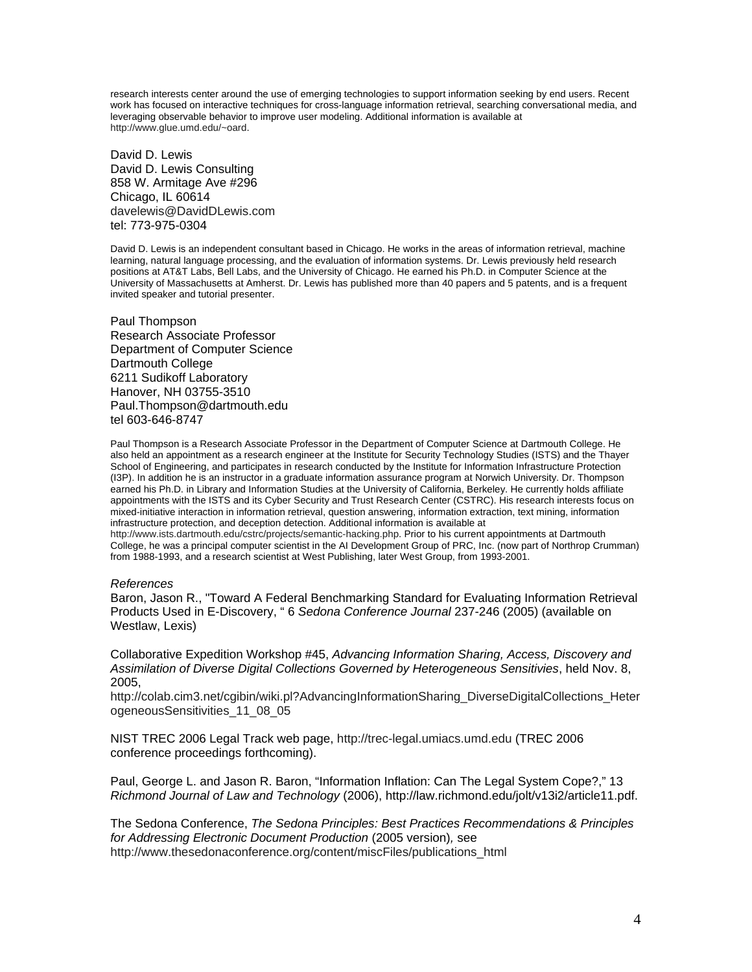research interests center around the use of emerging technologies to support information seeking by end users. Recent work has focused on interactive techniques for cross-language information retrieval, searching conversational media, and leveraging observable behavior to improve user modeling. Additional information is available at http://www.glue.umd.edu/~oard.

David D. Lewis David D. Lewis Consulting 858 W. Armitage Ave #296 Chicago, IL 60614 davelewis@DavidDLewis.com tel: 773-975-0304

David D. Lewis is an independent consultant based in Chicago. He works in the areas of information retrieval, machine learning, natural language processing, and the evaluation of information systems. Dr. Lewis previously held research positions at AT&T Labs, Bell Labs, and the University of Chicago. He earned his Ph.D. in Computer Science at the University of Massachusetts at Amherst. Dr. Lewis has published more than 40 papers and 5 patents, and is a frequent invited speaker and tutorial presenter.

Paul Thompson Research Associate Professor Department of Computer Science Dartmouth College 6211 Sudikoff Laboratory Hanover, NH 03755-3510 Paul.Thompson@dartmouth.edu tel 603-646-8747

Paul Thompson is a Research Associate Professor in the Department of Computer Science at Dartmouth College. He also held an appointment as a research engineer at the Institute for Security Technology Studies (ISTS) and the Thayer School of Engineering, and participates in research conducted by the Institute for Information Infrastructure Protection (I3P). In addition he is an instructor in a graduate information assurance program at Norwich University. Dr. Thompson earned his Ph.D. in Library and Information Studies at the University of California, Berkeley. He currently holds affiliate appointments with the ISTS and its Cyber Security and Trust Research Center (CSTRC). His research interests focus on mixed-initiative interaction in information retrieval, question answering, information extraction, text mining, information infrastructure protection, and deception detection. Additional information is available at

http://www.ists.dartmouth.edu/cstrc/projects/semantic-hacking.php. Prior to his current appointments at Dartmouth College, he was a principal computer scientist in the AI Development Group of PRC, Inc. (now part of Northrop Crumman) from 1988-1993, and a research scientist at West Publishing, later West Group, from 1993-2001.

#### *References*

Baron, Jason R., "Toward A Federal Benchmarking Standard for Evaluating Information Retrieval Products Used in E-Discovery, " 6 *Sedona Conference Journal* 237-246 (2005) (available on Westlaw, Lexis)

Collaborative Expedition Workshop #45, *Advancing Information Sharing, Access, Discovery and Assimilation of Diverse Digital Collections Governed by Heterogeneous Sensitivies*, held Nov. 8, 2005,

http://colab.cim3.net/cgibin/wiki.pl?AdvancingInformationSharing\_DiverseDigitalCollections\_Heter ogeneousSensitivities\_11\_08\_05

NIST TREC 2006 Legal Track web page, http://trec-legal.umiacs.umd.edu (TREC 2006 conference proceedings forthcoming).

Paul, George L. and Jason R. Baron, "Information Inflation: Can The Legal System Cope?," 13 *Richmond Journal of Law and Technology* (2006), http://law.richmond.edu/jolt/v13i2/article11.pdf.

The Sedona Conference, *The Sedona Principles: Best Practices Recommendations & Principles for Addressing Electronic Document Production* (2005 version)*,* see http://www.thesedonaconference.org/content/miscFiles/publications\_html